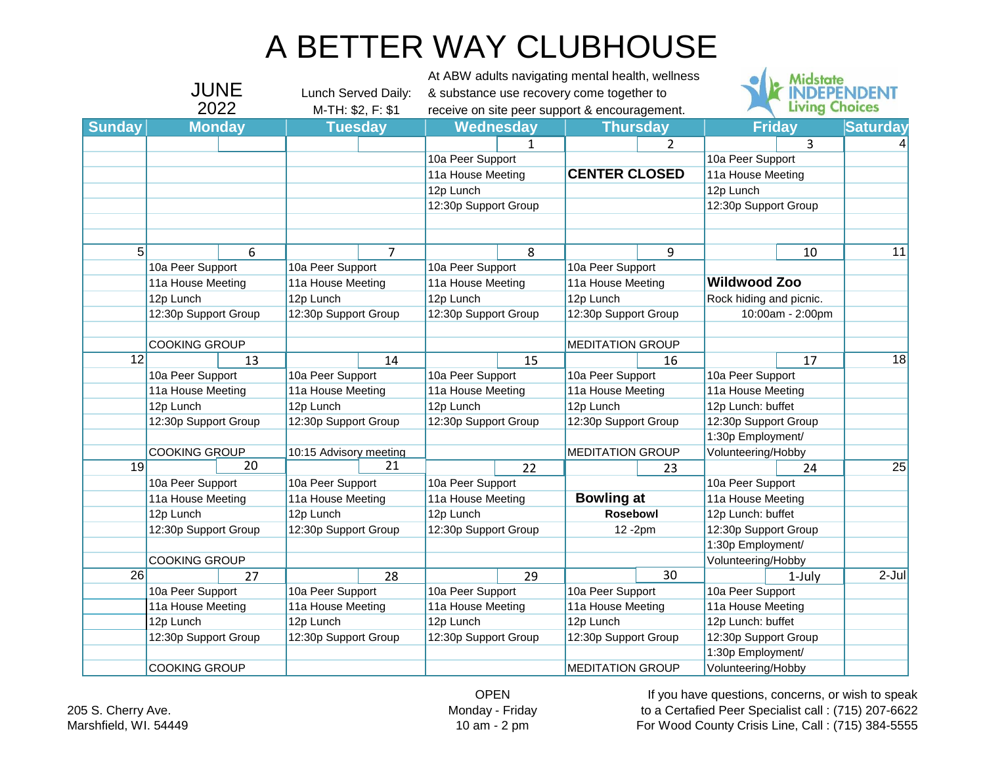## A BETTER WAY CLUBHOUSE

|               |                                                           |                   |                                                |                   | At ABW adults navigating mental health, wellness |                   |                                                 |                   |                                                                 | <b>Midstate</b>       |                 |
|---------------|-----------------------------------------------------------|-------------------|------------------------------------------------|-------------------|--------------------------------------------------|-------------------|-------------------------------------------------|-------------------|-----------------------------------------------------------------|-----------------------|-----------------|
| JUNE          |                                                           |                   | Lunch Served Daily:                            |                   | & substance use recovery come together to        |                   |                                                 |                   |                                                                 |                       | <b>EPENDENT</b> |
| 2022          |                                                           |                   | M-TH: \$2, F: \$1                              |                   | receive on site peer support & encouragement.    |                   |                                                 |                   |                                                                 | <b>Living Choices</b> |                 |
| <b>Sunday</b> | <b>Monday</b>                                             |                   | <b>Tuesday</b>                                 |                   |                                                  | Wednesday         | <b>Thursday</b>                                 |                   | <b>Friday</b>                                                   |                       | <b>Saturday</b> |
|               |                                                           |                   |                                                |                   |                                                  | 1                 |                                                 | $\overline{2}$    |                                                                 | 3                     |                 |
|               |                                                           |                   |                                                |                   | 10a Peer Support                                 |                   |                                                 |                   | 10a Peer Support                                                |                       |                 |
|               |                                                           |                   |                                                |                   | 11a House Meeting                                |                   | <b>CENTER CLOSED</b>                            |                   | 11a House Meeting                                               |                       |                 |
|               |                                                           |                   |                                                |                   |                                                  | 12p Lunch         |                                                 |                   |                                                                 | 12p Lunch             |                 |
|               |                                                           |                   |                                                |                   | 12:30p Support Group                             |                   |                                                 |                   | 12:30p Support Group                                            |                       |                 |
|               |                                                           |                   |                                                |                   |                                                  |                   |                                                 |                   |                                                                 |                       |                 |
| 5             |                                                           | 6                 |                                                | $\overline{7}$    |                                                  | 8                 |                                                 | 9                 |                                                                 | 10                    | 11              |
|               | 10a Peer Support                                          |                   | 10a Peer Support                               |                   | 10a Peer Support                                 |                   | 10a Peer Support                                |                   |                                                                 |                       |                 |
|               | 11a House Meeting<br>12p Lunch<br>12:30p Support Group    |                   | 11a House Meeting                              |                   | 11a House Meeting                                |                   | 11a House Meeting                               |                   | <b>Wildwood Zoo</b>                                             |                       |                 |
|               |                                                           |                   | 12p Lunch                                      |                   | 12p Lunch                                        |                   | 12p Lunch                                       |                   | Rock hiding and picnic.                                         |                       |                 |
|               |                                                           |                   | 12:30p Support Group                           |                   | 12:30p Support Group                             |                   | 12:30p Support Group                            |                   | 10:00am - 2:00pm                                                |                       |                 |
|               |                                                           |                   |                                                |                   |                                                  |                   |                                                 |                   |                                                                 |                       |                 |
|               | <b>COOKING GROUP</b>                                      |                   |                                                |                   |                                                  |                   | <b>MEDITATION GROUP</b>                         |                   |                                                                 |                       |                 |
| 12            |                                                           | 13                |                                                | 14                |                                                  | 15                |                                                 | 16                |                                                                 | 17                    | 18              |
|               | 10a Peer Support                                          |                   | 10a Peer Support                               |                   | 10a Peer Support                                 |                   | 10a Peer Support                                |                   | 10a Peer Support                                                |                       |                 |
|               | 11a House Meeting                                         |                   | 11a House Meeting                              |                   | 11a House Meeting                                |                   | 11a House Meeting                               |                   | 11a House Meeting                                               |                       |                 |
|               | 12p Lunch<br>12:30p Support Group<br><b>COOKING GROUP</b> |                   | 12p Lunch                                      |                   | 12p Lunch                                        |                   | 12p Lunch                                       |                   | 12p Lunch: buffet                                               |                       |                 |
|               |                                                           |                   | 12:30p Support Group<br>10:15 Advisory meeting |                   | 12:30p Support Group                             |                   | 12:30p Support Group<br><b>MEDITATION GROUP</b> |                   | 12:30p Support Group<br>1:30p Employment/<br>Volunteering/Hobby |                       |                 |
|               |                                                           |                   |                                                |                   |                                                  |                   |                                                 |                   |                                                                 |                       |                 |
|               |                                                           |                   |                                                |                   |                                                  |                   |                                                 |                   |                                                                 |                       |                 |
| 19            |                                                           | 20                |                                                | 21                |                                                  | 22                |                                                 | 23                |                                                                 | 24                    | $\overline{25}$ |
|               | 10a Peer Support                                          |                   | 10a Peer Support                               |                   | 10a Peer Support                                 |                   |                                                 |                   | 10a Peer Support                                                |                       |                 |
|               |                                                           | 11a House Meeting |                                                | 11a House Meeting |                                                  | 11a House Meeting |                                                 | <b>Bowling at</b> |                                                                 | 11a House Meeting     |                 |
|               | 12p Lunch                                                 |                   | 12p Lunch                                      |                   | 12p Lunch                                        |                   | Rosebowl                                        |                   | 12p Lunch: buffet                                               |                       |                 |
|               | 12:30p Support Group                                      |                   | 12:30p Support Group                           |                   | 12:30p Support Group                             |                   | 12-2pm                                          |                   | 12:30p Support Group                                            |                       |                 |
|               |                                                           |                   |                                                |                   |                                                  |                   |                                                 |                   | 1:30p Employment/                                               |                       |                 |
|               | <b>COOKING GROUP</b>                                      |                   |                                                |                   |                                                  |                   |                                                 |                   | Volunteering/Hobby                                              |                       |                 |
| 26            |                                                           | 27                |                                                | 28                |                                                  | 29                |                                                 | 30                |                                                                 | 1-July                | $2 -$ Jul       |
|               | 10a Peer Support                                          |                   | 10a Peer Support                               |                   | 10a Peer Support                                 |                   | 10a Peer Support                                |                   | 10a Peer Support                                                |                       |                 |
|               | 11a House Meeting<br>12p Lunch<br>12:30p Support Group    |                   | 11a House Meeting                              |                   | 11a House Meeting                                |                   | 11a House Meeting                               |                   | 11a House Meeting                                               |                       |                 |
|               |                                                           |                   | 12p Lunch<br>12:30p Support Group              |                   | 12p Lunch<br>12:30p Support Group                |                   | 12p Lunch<br>12:30p Support Group               |                   | 12p Lunch: buffet                                               |                       |                 |
|               |                                                           |                   |                                                |                   |                                                  |                   |                                                 |                   | 12:30p Support Group                                            |                       |                 |
|               |                                                           |                   |                                                |                   |                                                  |                   |                                                 |                   | 1:30p Employment/                                               |                       |                 |
|               | <b>COOKING GROUP</b>                                      |                   |                                                |                   |                                                  |                   | <b>MEDITATION GROUP</b>                         |                   | Volunteering/Hobby                                              |                       |                 |